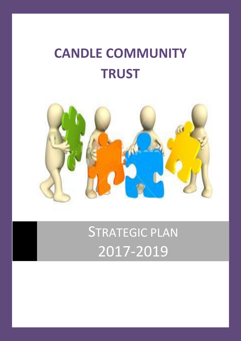# **CANDLE COMMUNITY TRUST**



STRATEGIC PLAN 2017-2019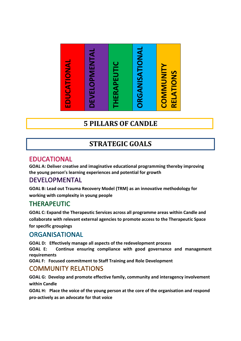

# **5 PILLARS OF CANDLE**

# **STRATEGIC GOALS**

**GOAL A: Deliver creative and imaginative educational programming thereby improving the young person's learning experiences and potential for growth**

**GOAL B: Lead out Trauma Recovery Model (TRM) as an innovative methodology for working with complexity in young people**

**GOAL C: Expand the Therapeutic Services across all programme areas within Candle and collaborate with relevant external agencies to promote access to the Therapeutic Space for specific groupings**

**GOAL D: Effectively manage all aspects of the redevelopment process**

**GOAL E: Continue ensuring compliance with good governance and management requirements**

**GOAL F: Focused commitment to Staff Training and Role Development**

**GOAL G: Develop and promote effective family, community and interagency involvement within Candle**

**GOAL H: Place the voice of the young person at the core of the organisation and respond**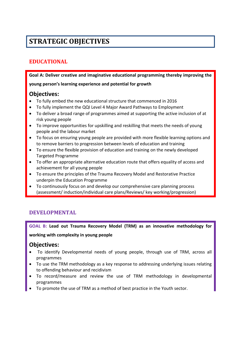# **STRATEGIC OBJECTIVES**

# **EDUCATIONAL**

**Goal A: Deliver creative and imaginative educational programming thereby improving the** 

**young person's learning experience and potential for growth** 

# **Objectives:**

- To fully embed the new educational structure that commenced in 2016
- To fully implement the QQI Level 4 Major Award Pathways to Employment
- To deliver a broad range of programmes aimed at supporting the active inclusion of at risk young people
- To improve opportunities for upskilling and reskilling that meets the needs of young people and the labour market
- To focus on ensuring young people are provided with more flexible learning options and to remove barriers to progression between levels of education and training
- To ensure the flexible provision of education and training on the newly developed Targeted Programme
- To offer an appropriate alternative education route that offers equality of access and achievement for all young people
- To ensure the principles of the Trauma Recovery Model and Restorative Practice underpin the Education Programme
- To continuously focus on and develop our comprehensive care planning process (assessment/ induction/individual care plans/Reviews/ key working/progression)

# **DEVELOPMENTAL**

**GOAL B: Lead out Trauma Recovery Model (TRM) as an innovative methodology for** 

**working with complexity in young people**

## **Objectives:**

- To identify Developmental needs of young people, through use of TRM, across all programmes
- To use the TRM methodology as a key response to addressing underlying issues relating to offending behaviour and recidivism
- To record/measure and review the use of TRM methodology in developmental programmes
- To promote the use of TRM as a method of best practice in the Youth sector.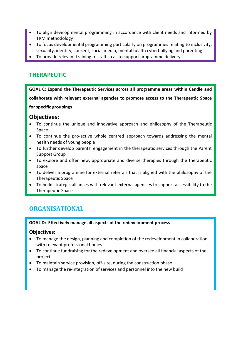- To align developmental programming in accordance with client needs and informed by TRM methodology
- To focus developmental programming particularly on programmes relating to inclusivity, sexuality, identity, consent, social media, mental health cyberbullying and parenting
- To provide relevant training to staff so as to support programme delivery

# **THERAPEUTIC**

**GOAL C: Expand the Therapeutic Services across all programme areas within Candle and collaborate with relevant external agencies to promote access to the Therapeutic Space for specific groupings**

# **Objectives:**

- To continue the unique and innovative approach and philosophy of the Therapeutic Space
- To continue the pro-active whole centred approach towards addressing the mental health needs of young people
- To further develop parents' engagement in the therapeutic services through the Parent Support Group
- To explore and offer new, appropriate and diverse therapies through the therapeutic space
- To deliver a programme for external referrals that is aligned with the philosophy of the Therapeutic Space
- To build strategic alliances with relevant external agencies to support accessibility to the Therapeutic Space

# **ORGANISATIONAL**

### **GOAL D: Effectively manage all aspects of the redevelopment process**

### **Objectives:**

- To manage the design, planning and completion of the redevelopment in collaboration with relevant professional bodies
- To continue fundraising for the redevelopment and oversee all financial aspects of the project
- To maintain service provision, off-site, during the construction phase
- To manage the re-integration of services and personnel into the new build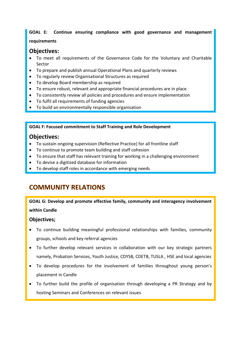# **GOAL E: Continue ensuring compliance with good governance and management**

### **requirements**

## **Objectives:**

- To meet all requirements of the Governance Code for the Voluntary and Charitable Sector
- To prepare and publish annual Operational Plans and quarterly reviews
- To regularly review Organisational Structures as required
- To develop Board membership as required
- To ensure robust, relevant and appropriate financial procedures are in place
- To consistently review all policies and procedures and ensure implementation
- To fulfil all requirements of funding agencies
- To build an environmentally responsible organisation

**GOAL F: Focused commitment to Staff Training and Role Development**

# **Objectives:**

- To sustain ongoing supervision (Reflective Practice) for all frontline staff
- To continue to promote team building and staff cohesion
- To ensure that staff has relevant training for working in a challenging environment
- To devise a digitized database for information
- To develop staff roles in accordance with emerging needs

# **COMMUNITY RELATIONS**

# **GOAL G: Develop and promote effective family, community and interagency involvement within Candle**

## **Objectives;**

- To continue building meaningful professional relationships with families, community groups, schools and key referral agencies
- To further develop relevant services in collaboration with our key strategic partners namely, Probation Services, Youth Justice, CDYSB, CDETB, TUSLA , HSE and local agencies
- To develop procedures for the involvement of families throughout young person's placement in Candle
- To further build the profile of organisation through developing a PR Strategy and by hosting Seminars and Conferences on relevant issues